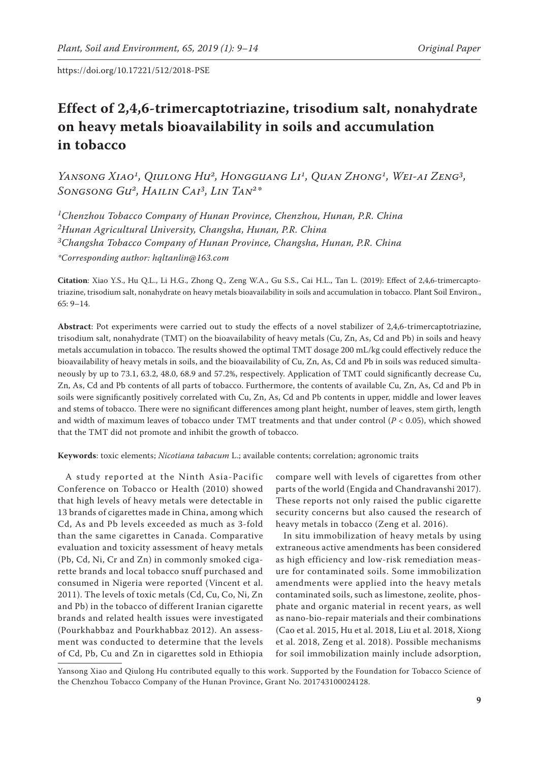# **Effect of 2,4,6-trimercaptotriazine, trisodium salt, nonahydrate on heavy metals bioavailability in soils and accumulation in tobacco**

YANSONG XIAO<sup>1</sup>, QIULONG HU<sup>2</sup>, HONGGUANG LI<sup>1</sup>, QUAN ZHONG<sup>1</sup>, WEI-AI ZENG<sup>3</sup>, *Songsong Gu2, Hailin Cai3, Lin Tan2\**

*1Chenzhou Tobacco Company of Hunan Province, Chenzhou, Hunan, P.R. China 2Hunan Agricultural University, Changsha, Hunan, P.R. China 3Changsha Tobacco Company of Hunan Province, Changsha, Hunan, P.R. China \*Corresponding author: hqltanlin@163.com*

**Citation**: Xiao Y.S., Hu Q.L., Li H.G., Zhong Q., Zeng W.A., Gu S.S., Cai H.L., Tan L. (2019): Effect of 2,4,6-trimercaptotriazine, trisodium salt, nonahydrate on heavy metals bioavailability in soils and accumulation in tobacco. Plant Soil Environ., 65: 9–14.

**Abstract**: Pot experiments were carried out to study the effects of a novel stabilizer of 2,4,6-trimercaptotriazine, trisodium salt, nonahydrate (TMT) on the bioavailability of heavy metals (Cu, Zn, As, Cd and Pb) in soils and heavy metals accumulation in tobacco. The results showed the optimal TMT dosage 200 mL/kg could effectively reduce the bioavailability of heavy metals in soils, and the bioavailability of Cu, Zn, As, Cd and Pb in soils was reduced simultaneously by up to 73.1, 63.2, 48.0, 68.9 and 57.2%, respectively. Application of TMT could significantly decrease Cu, Zn, As, Cd and Pb contents of all parts of tobacco. Furthermore, the contents of available Cu, Zn, As, Cd and Pb in soils were significantly positively correlated with Cu, Zn, As, Cd and Pb contents in upper, middle and lower leaves and stems of tobacco. There were no significant differences among plant height, number of leaves, stem girth, length and width of maximum leaves of tobacco under TMT treatments and that under control (*P* < 0.05), which showed that the TMT did not promote and inhibit the growth of tobacco.

**Keywords**: toxic elements; *Nicotiana tabacum* L.; available contents; correlation; agronomic traits

A study reported at the Ninth Asia-Pacific Conference on Tobacco or Health (2010) showed that high levels of heavy metals were detectable in 13 brands of cigarettes made in China, among which Cd, As and Pb levels exceeded as much as 3-fold than the same cigarettes in Canada. Comparative evaluation and toxicity assessment of heavy metals (Pb, Cd, Ni, Cr and Zn) in commonly smoked cigarette brands and local tobacco snuff purchased and consumed in Nigeria were reported (Vincent et al. 2011). The levels of toxic metals (Cd, Cu, Co, Ni, Zn and Pb) in the tobacco of different Iranian cigarette brands and related health issues were investigated (Pourkhabbaz and Pourkhabbaz 2012). An assessment was conducted to determine that the levels of Cd, Pb, Cu and Zn in cigarettes sold in Ethiopia

compare well with levels of cigarettes from other parts of the world (Engida and Chandravanshi 2017). These reports not only raised the public cigarette security concerns but also caused the research of heavy metals in tobacco (Zeng et al. 2016).

In situ immobilization of heavy metals by using extraneous active amendments has been considered as high efficiency and low-risk remediation measure for contaminated soils. Some immobilization amendments were applied into the heavy metals contaminated soils, such as limestone, zeolite, phosphate and organic material in recent years, as well as nano-bio-repair materials and their combinations (Cao et al. 2015, Hu et al. 2018, Liu et al. 2018, Xiong et al. 2018, Zeng et al. 2018). Possible mechanisms for soil immobilization mainly include adsorption,

Yansong Xiao and Qiulong Hu contributed equally to this work. Supported by the Foundation for Tobacco Science of the Chenzhou Tobacco Company of the Hunan Province, Grant No. 201743100024128.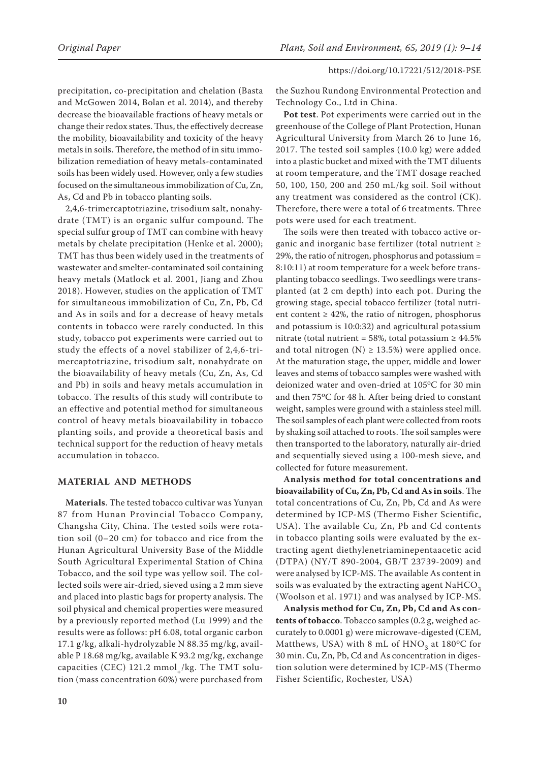precipitation, co-precipitation and chelation (Basta and McGowen 2014, Bolan et al. 2014), and thereby decrease the bioavailable fractions of heavy metals or change their redox states. Thus, the effectively decrease the mobility, bioavailability and toxicity of the heavy metals in soils. Therefore, the method of in situ immobilization remediation of heavy metals-contaminated soils has been widely used. However, only a few studies focused on the simultaneous immobilization of Cu, Zn, As, Cd and Pb in tobacco planting soils.

2,4,6-trimercaptotriazine, trisodium salt, nonahydrate (TMT) is an organic sulfur compound. The special sulfur group of TMT can combine with heavy metals by chelate precipitation (Henke et al. 2000); TMT has thus been widely used in the treatments of wastewater and smelter-contaminated soil containing heavy metals (Matlock et al. 2001, Jiang and Zhou 2018). However, studies on the application of TMT for simultaneous immobilization of Cu, Zn, Pb, Cd and As in soils and for a decrease of heavy metals contents in tobacco were rarely conducted. In this study, tobacco pot experiments were carried out to study the effects of a novel stabilizer of 2,4,6-trimercaptotriazine, trisodium salt, nonahydrate on the bioavailability of heavy metals (Cu, Zn, As, Cd and Pb) in soils and heavy metals accumulation in tobacco. The results of this study will contribute to an effective and potential method for simultaneous control of heavy metals bioavailability in tobacco planting soils, and provide a theoretical basis and technical support for the reduction of heavy metals accumulation in tobacco.

## **MATERIAL AND METHODS**

**Materials**. The tested tobacco cultivar was Yunyan 87 from Hunan Provincial Tobacco Company, Changsha City, China. The tested soils were rotation soil (0–20 cm) for tobacco and rice from the Hunan Agricultural University Base of the Middle South Agricultural Experimental Station of China Tobacco, and the soil type was yellow soil. The collected soils were air-dried, sieved using a 2 mm sieve and placed into plastic bags for property analysis. The soil physical and chemical properties were measured by a previously reported method (Lu 1999) and the results were as follows: pH 6.08, total organic carbon 17.1 g/kg, alkali-hydrolyzable N 88.35 mg/kg, available P 18.68 mg/kg, available K 93.2 mg/kg, exchange capacities (CEC) 121.2 mmol<sub>-</sub>/kg. The TMT solution (mass concentration 60%) were purchased from

the Suzhou Rundong Environmental Protection and Technology Co., Ltd in China.

**Pot test**. Pot experiments were carried out in the greenhouse of the College of Plant Protection, Hunan Agricultural University from March 26 to June 16, 2017. The tested soil samples (10.0 kg) were added into a plastic bucket and mixed with the TMT diluents at room temperature, and the TMT dosage reached 50, 100, 150, 200 and 250 mL/kg soil. Soil without any treatment was considered as the control (CK). Therefore, there were a total of 6 treatments. Three pots were used for each treatment.

The soils were then treated with tobacco active organic and inorganic base fertilizer (total nutrient ≥ 29%, the ratio of nitrogen, phosphorus and potassium = 8:10:11) at room temperature for a week before transplanting tobacco seedlings. Two seedlings were transplanted (at 2 cm depth) into each pot. During the growing stage, special tobacco fertilizer (total nutrient content  $\geq 42\%$ , the ratio of nitrogen, phosphorus and potassium is 10:0:32) and agricultural potassium nitrate (total nutrient = 58%, total potassium  $\geq 44.5\%$ and total nitrogen (N)  $\geq$  13.5%) were applied once. At the maturation stage, the upper, middle and lower leaves and stems of tobacco samples were washed with deionized water and oven-dried at 105°C for 30 min and then 75oC for 48 h. After being dried to constant weight, samples were ground with a stainless steel mill. The soil samples of each plant were collected from roots by shaking soil attached to roots. The soil samples were then transported to the laboratory, naturally air-dried and sequentially sieved using a 100-mesh sieve, and collected for future measurement.

**Analysis method for total concentrations and bioavailability of Cu, Zn, Pb, Cd and As in soils**. The total concentrations of Cu, Zn, Pb, Cd and As were determined by ICP-MS (Thermo Fisher Scientific, USA). The available Cu, Zn, Pb and Cd contents in tobacco planting soils were evaluated by the extracting agent diethylenetriaminepentaacetic acid (DTPA) (NY/T 890-2004, GB/T 23739-2009) and were analysed by ICP-MS. The available As content in soils was evaluated by the extracting agent  $\mathrm{NaHCO}_{3}$ (Woolson et al. 1971) and was analysed by ICP-MS.

**Analysis method for Cu, Zn, Pb, Cd and As contents of tobacco**. Tobacco samples (0.2 g, weighed accurately to 0.0001 g) were microwave-digested (CEM, Matthews, USA) with 8 mL of  $HNO<sub>2</sub>$  at 180°C for 30 min. Cu, Zn, Pb, Cd and As concentration in digestion solution were determined by ICP-MS (Thermo Fisher Scientific, Rochester, USA)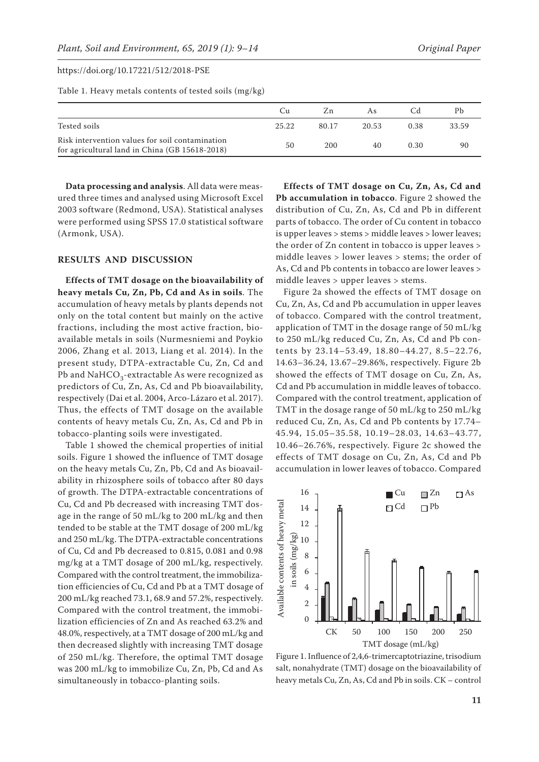Table 1. Heavy metals contents of tested soils (mg/kg)

|                                                                                                   | Cп    | Zn    | As    |      |       |
|---------------------------------------------------------------------------------------------------|-------|-------|-------|------|-------|
| Tested soils                                                                                      | 25.22 | 80.17 | 20.53 | 0.38 | 33.59 |
| Risk intervention values for soil contamination<br>for agricultural land in China (GB 15618-2018) | 50    | 200   | 40    | 0.30 | 90    |

**Data processing and analysis**. All data were measured three times and analysed using Microsoft Excel 2003 software (Redmond, USA). Statistical analyses were performed using SPSS 17.0 statistical software (Armonk, USA).

## **RESULTS AND DISCUSSION**

**Effects of TMT dosage on the bioavailability of heavy metals Cu, Zn, Pb, Cd and As in soils**. The accumulation of heavy metals by plants depends not only on the total content but mainly on the active fractions, including the most active fraction, bioavailable metals in soils (Nurmesniemi and Poykio 2006, Zhang et al. 2013, Liang et al. 2014). In the present study, DTPA-extractable Cu, Zn, Cd and Pb and NaHCO<sub>2</sub>-extractable As were recognized as predictors of Cu, Zn, As, Cd and Pb bioavailability, respectively (Dai et al. 2004, Arco-Lázaro et al. 2017). Thus, the effects of TMT dosage on the available contents of heavy metals Cu, Zn, As, Cd and Pb in tobacco-planting soils were investigated.

Table 1 showed the chemical properties of initial soils. Figure 1 showed the influence of TMT dosage on the heavy metals Cu, Zn, Pb, Cd and As bioavailability in rhizosphere soils of tobacco after 80 days of growth. The DTPA-extractable concentrations of Cu, Cd and Pb decreased with increasing TMT dosage in the range of 50 mL/kg to 200 mL/kg and then tended to be stable at the TMT dosage of 200 mL/kg and 250 mL/kg. The DTPA-extractable concentrations of Cu, Cd and Pb decreased to 0.815, 0.081 and 0.98 mg/kg at a TMT dosage of 200 mL/kg, respectively. Compared with the control treatment, the immobilization efficiencies of Cu, Cd and Pb at a TMT dosage of 200 mL/kg reached 73.1, 68.9 and 57.2%, respectively. Compared with the control treatment, the immobilization efficiencies of Zn and As reached 63.2% and 48.0%, respectively, at a TMT dosage of 200 mL/kg and then decreased slightly with increasing TMT dosage of 250 mL/kg. Therefore, the optimal TMT dosage was 200 mL/kg to immobilize Cu, Zn, Pb, Cd and As simultaneously in tobacco-planting soils.

**Effects of TMT dosage on Cu, Zn, As, Cd and Pb accumulation in tobacco**. Figure 2 showed the distribution of Cu, Zn, As, Cd and Pb in different parts of tobacco. The order of Cu content in tobacco is upper leaves > stems > middle leaves > lower leaves; the order of Zn content in tobacco is upper leaves > middle leaves > lower leaves > stems; the order of As, Cd and Pb contents in tobacco are lower leaves > middle leaves > upper leaves > stems.

Figure 2a showed the effects of TMT dosage on Cu, Zn, As, Cd and Pb accumulation in upper leaves of tobacco. Compared with the control treatment, application of TMT in the dosage range of 50 mL/kg to 250 mL/kg reduced Cu, Zn, As, Cd and Pb contents by 23.14–53.49, 18.80–44.27, 8.5–22.76, 14.63–36.24, 13.67–29.86%, respectively. Figure 2b showed the effects of TMT dosage on Cu, Zn, As, Cd and Pb accumulation in middle leaves of tobacco. Compared with the control treatment, application of TMT in the dosage range of 50 mL/kg to 250 mL/kg reduced Cu, Zn, As, Cd and Pb contents by 17.74– 45.94, 15.05–35.58, 10.19–28.03, 14.63–43.77, 10.46–26.76%, respectively. Figure 2c showed the effects of TMT dosage on Cu, Zn, As, Cd and Pb accumulation in lower leaves of tobacco. Compared



Figure 1. Influence of 2,4,6-trimercaptotriazine, trisodium salt, nonahydrate (TMT) dosage on the bioavailability of heavy metals Cu, Zn, As, Cd and Pb in soils. CK – control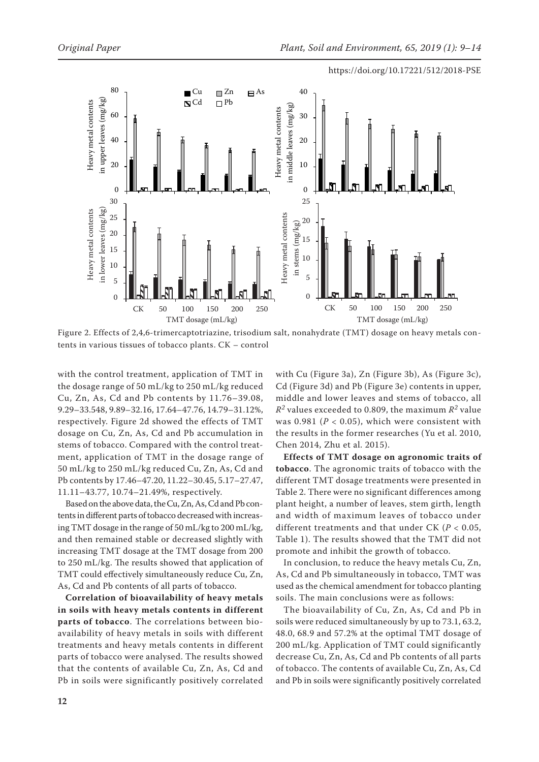

Figure 2. Effects of 2,4,6-trimercaptotriazine, trisodium salt, nonahydrate (TMT) dosage on heavy metals contents in various tissues of tobacco plants. CK – control

with the control treatment, application of TMT in the dosage range of 50 mL/kg to 250 mL/kg reduced Cu, Zn, As, Cd and Pb contents by 11.76–39.08, 9.29–33.548, 9.89–32.16, 17.64–47.76, 14.79–31.12%, respectively. Figure 2d showed the effects of TMT dosage on Cu, Zn, As, Cd and Pb accumulation in stems of tobacco. Compared with the control treatment, application of TMT in the dosage range of 50 mL/kg to 250 mL/kg reduced Cu, Zn, As, Cd and Pb contents by 17.46–47.20, 11.22–30.45, 5.17–27.47, 11.11–43.77, 10.74–21.49%, respectively.

Based on the above data, the Cu, Zn, As, Cd and Pb contents in different parts of tobacco decreased with increasing TMT dosage in the range of 50 mL/kg to 200 mL/kg, and then remained stable or decreased slightly with increasing TMT dosage at the TMT dosage from 200 to 250 mL/kg. The results showed that application of TMT could effectively simultaneously reduce Cu, Zn, As, Cd and Pb contents of all parts of tobacco.

**Correlation of bioavailability of heavy metals in soils with heavy metals contents in different parts of tobacco**. The correlations between bioavailability of heavy metals in soils with different treatments and heavy metals contents in different parts of tobacco were analysed. The results showed that the contents of available Cu, Zn, As, Cd and Pb in soils were significantly positively correlated with Cu (Figure 3a), Zn (Figure 3b), As (Figure 3c), Cd (Figure 3d) and Pb (Figure 3e) contents in upper, middle and lower leaves and stems of tobacco, all  $R^2$  values exceeded to 0.809, the maximum  $R^2$  value was 0.981 ( $P < 0.05$ ), which were consistent with the results in the former researches (Yu et al. 2010, Chen 2014, Zhu et al. 2015).

**Effects of TMT dosage on agronomic traits of tobacco**. The agronomic traits of tobacco with the different TMT dosage treatments were presented in Table 2. There were no significant differences among plant height, a number of leaves, stem girth, length and width of maximum leaves of tobacco under different treatments and that under CK (*P* < 0.05, Table 1). The results showed that the TMT did not promote and inhibit the growth of tobacco.

In conclusion, to reduce the heavy metals Cu, Zn, As, Cd and Pb simultaneously in tobacco, TMT was used as the chemical amendment for tobacco planting soils. The main conclusions were as follows:

The bioavailability of Cu, Zn, As, Cd and Pb in soils were reduced simultaneously by up to 73.1, 63.2, 48.0, 68.9 and 57.2% at the optimal TMT dosage of 200 mL/kg. Application of TMT could significantly decrease Cu, Zn, As, Cd and Pb contents of all parts of tobacco. The contents of available Cu, Zn, As, Cd and Pb in soils were significantly positively correlated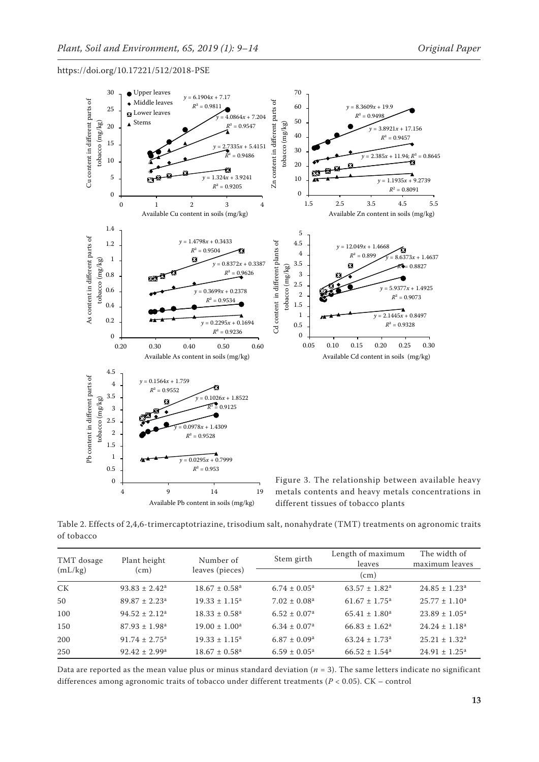

Table 2. Effects of 2,4,6-trimercaptotriazine, trisodium salt, nonahydrate (TMT) treatments on agronomic traits of tobacco

| TMT dosage<br>(mL/kg) | Plant height<br>(cm)          | Number of<br>leaves (pieces)  | Stem girth                   | Length of maximum<br>leaves   | The width of<br>maximum leaves |  |
|-----------------------|-------------------------------|-------------------------------|------------------------------|-------------------------------|--------------------------------|--|
|                       |                               |                               |                              | (c <sub>m</sub> )             |                                |  |
| СK                    | $93.83 \pm 2.42^a$            | $18.67 \pm 0.58$ <sup>a</sup> | $6.74 \pm 0.05^{\text{a}}$   | $63.57 \pm 1.82^{\text{a}}$   | $24.85 \pm 1.23^{\text{a}}$    |  |
| 50                    | $89.87 \pm 2.23$ <sup>a</sup> | $19.33 \pm 1.15^a$            | $7.02 \pm 0.08^a$            | $61.67 \pm 1.75$ <sup>a</sup> | $25.77 \pm 1.10^a$             |  |
| 100                   | $94.52 \pm 2.12^a$            | $18.33 \pm 0.58^{\circ}$      | $6.52 \pm 0.07$ <sup>a</sup> | $65.41 \pm 1.80^a$            | $23.89 \pm 1.05^{\text{a}}$    |  |
| 150                   | $87.93 \pm 1.98^a$            | $19.00 \pm 1.00^a$            | $6.34 \pm 0.07$ <sup>a</sup> | $66.83 \pm 1.62^a$            | $24.24 \pm 1.18^a$             |  |
| 200                   | $91.74 \pm 2.75$ <sup>a</sup> | $19.33 \pm 1.15^a$            | $6.87 \pm 0.09^{\rm a}$      | $63.24 \pm 1.73$ <sup>a</sup> | $25.21 \pm 1.32^a$             |  |
| 250                   | $92.42 \pm 2.99^{\text{a}}$   | $18.67 \pm 0.58$ <sup>a</sup> | $6.59 \pm 0.05^{\text{a}}$   | $66.52 \pm 1.54$ <sup>a</sup> | $24.91 \pm 1.25^a$             |  |

Data are reported as the mean value plus or minus standard deviation  $(n = 3)$ . The same letters indicate no significant differences among agronomic traits of tobacco under different treatments (*P* < 0.05). CK – control